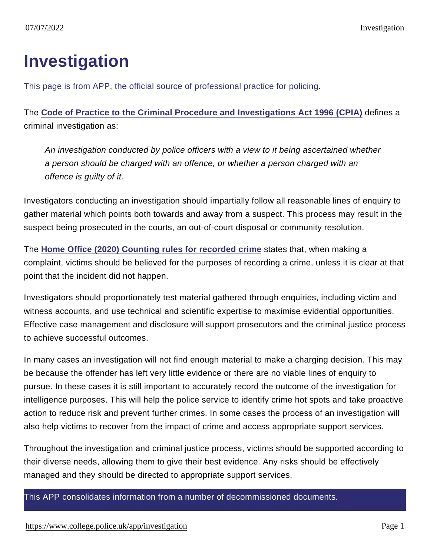## Investigation

This page is from APP, the official source of professional practice for policing.

The [Code of Practice to the Criminal Procedure and Investigations Act 1996 \(CPIA\)](https://www.gov.uk/government/uploads/system/uploads/attachment_data/file/447967/code-of-practice-approved.pdf) defines a criminal investigation as:

An investigation conducted by police officers with a view to it being ascertained whether a person should be charged with an offence, or whether a person charged with an offence is guilty of it.

Investigators conducting an investigation should impartially follow all reasonable lines of enquiry to gather material which points both towards and away from a suspect. This process may result in the suspect being prosecuted in the courts, an out-of-court disposal or community resolution.

The [Home Office \(2020\) Counting rules for recorded crime](https://assets.publishing.service.gov.uk/government/uploads/system/uploads/attachment_data/file/877783/count-general-apr-2020.pdf) states that, when making a complaint, victims should be believed for the purposes of recording a crime, unless it is clear at that point that the incident did not happen.

Investigators should proportionately test material gathered through enquiries, including victim and witness accounts, and use technical and scientific expertise to maximise evidential opportunities. Effective case management and disclosure will support prosecutors and the criminal justice process to achieve successful outcomes.

In many cases an investigation will not find enough material to make a charging decision. This may be because the offender has left very little evidence or there are no viable lines of enquiry to pursue. In these cases it is still important to accurately record the outcome of the investigation for intelligence purposes. This will help the police service to identify crime hot spots and take proactive action to reduce risk and prevent further crimes. In some cases the process of an investigation will also help victims to recover from the impact of crime and access appropriate support services.

Throughout the investigation and criminal justice process, victims should be supported according to their diverse needs, allowing them to give their best evidence. Any risks should be effectively managed and they should be directed to appropriate support services.

This APP consolidates information from a number of decommissioned documents.